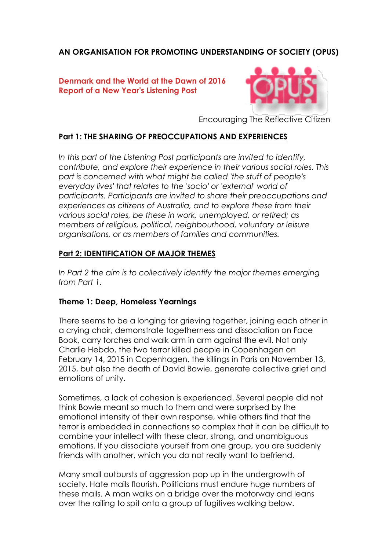# **AN ORGANISATION FOR PROMOTING UNDERSTANDING OF SOCIETY (OPUS)**

#### **Denmark and the World at the Dawn of 2016 Report of a New Year's Listening Post**



Encouraging The Reflective Citizen

## **Part 1: THE SHARING OF PREOCCUPATIONS AND EXPERIENCES**

*In this part of the Listening Post participants are invited to identify, contribute, and explore their experience in their various social roles. This part is concerned with what might be called 'the stuff of people's everyday lives' that relates to the 'socio' or 'external' world of participants. Participants are invited to share their preoccupations and experiences as citizens of Australia, and to explore these from their various social roles, be these in work, unemployed, or retired; as members of religious, political, neighbourhood, voluntary or leisure organisations, or as members of families and communities.*

## **Part 2: IDENTIFICATION OF MAJOR THEMES**

In Part 2 the aim is to collectively identify the major themes emerging *from Part 1.*

#### **Theme 1: Deep, Homeless Yearnings**

There seems to be a longing for grieving together, joining each other in a crying choir, demonstrate togetherness and dissociation on Face Book, carry torches and walk arm in arm against the evil. Not only Charlie Hebdo, the two terror killed people in Copenhagen on February 14, 2015 in Copenhagen, the killings in Paris on November 13, 2015, but also the death of David Bowie, generate collective grief and emotions of unity.

Sometimes, a lack of cohesion is experienced. Several people did not think Bowie meant so much to them and were surprised by the emotional intensity of their own response, while others find that the terror is embedded in connections so complex that it can be difficult to combine your intellect with these clear, strong, and unambiguous emotions. If you dissociate yourself from one group, you are suddenly friends with another, which you do not really want to befriend.

Many small outbursts of aggression pop up in the undergrowth of society. Hate mails flourish. Politicians must endure huge numbers of these mails. A man walks on a bridge over the motorway and leans over the railing to spit onto a group of fugitives walking below.